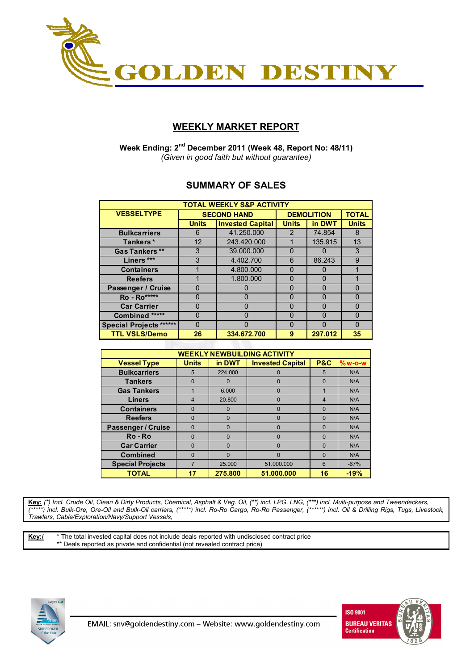

## **WEEKLY MARKET REPORT**

 **Week Ending: 2nd December 2011 (Week 48, Report No: 48/11)**  *(Given in good faith but without guarantee)* 

### **SUMMARY OF SALES**

| <b>TOTAL WEEKLY S&amp;P ACTIVITY</b> |              |                         |                   |              |          |  |  |  |  |
|--------------------------------------|--------------|-------------------------|-------------------|--------------|----------|--|--|--|--|
| <b>VESSELTYPE</b>                    |              | <b>SECOND HAND</b>      | <b>DEMOLITION</b> | <b>TOTAL</b> |          |  |  |  |  |
|                                      | <b>Units</b> | <b>Invested Capital</b> | <b>Units</b>      | in DWT       |          |  |  |  |  |
| <b>Bulkcarriers</b>                  | 6            | 41.250.000              | 2                 | 74.854       | 8        |  |  |  |  |
| Tankers*                             | 12           | 243.420.000             |                   | 135.915      | 13       |  |  |  |  |
| <b>Gas Tankers **</b>                | 3            | 39.000.000              | 0                 | 0            | 3        |  |  |  |  |
| Liners ***                           | 3            | 4.402.700               | 6                 | 86.243       | 9        |  |  |  |  |
| <b>Containers</b>                    |              | 4.800.000<br>0          |                   | 0            |          |  |  |  |  |
| <b>Reefers</b>                       |              | 1.800.000               | $\Omega$          | n            |          |  |  |  |  |
| Passenger / Cruise                   | $\Omega$     |                         | 0                 | $\Omega$     | $\Omega$ |  |  |  |  |
| Ro - Ro*****                         | $\Omega$     | n                       | $\Omega$          | $\Omega$     | $\Omega$ |  |  |  |  |
| <b>Car Carrier</b>                   | O            |                         | $\Omega$          | O            | $\Omega$ |  |  |  |  |
| Combined *****                       | $\Omega$     | n                       | $\Omega$          | n            | $\Omega$ |  |  |  |  |
| <b>Special Projects ******</b>       | O            |                         | $\Omega$          |              | $\Omega$ |  |  |  |  |
| <b>TTL VSLS/Demo</b>                 | 26           | 334.672.700             | 9                 | 297.012      | 35       |  |  |  |  |

| <b>WEEKLY NEWBUILDING ACTIVITY</b> |                                                                                 |          |            |                |        |  |  |  |  |  |  |
|------------------------------------|---------------------------------------------------------------------------------|----------|------------|----------------|--------|--|--|--|--|--|--|
| <b>Vessel Type</b>                 | in DWT<br><b>P&amp;C</b><br><b>Units</b><br><b>Invested Capital</b><br>$%w-O-W$ |          |            |                |        |  |  |  |  |  |  |
| <b>Bulkcarriers</b>                | 5                                                                               | 224,000  |            | 5              | N/A    |  |  |  |  |  |  |
| <b>Tankers</b>                     | $\Omega$                                                                        | $\Omega$ | $\Omega$   | $\Omega$       | N/A    |  |  |  |  |  |  |
| <b>Gas Tankers</b>                 |                                                                                 | 6.000    | $\Omega$   |                | N/A    |  |  |  |  |  |  |
| <b>Liners</b>                      | $\overline{4}$                                                                  | 20.800   | $\Omega$   | $\overline{4}$ | N/A    |  |  |  |  |  |  |
| <b>Containers</b>                  | 0                                                                               | $\Omega$ | $\Omega$   | $\Omega$       | N/A    |  |  |  |  |  |  |
| <b>Reefers</b>                     | $\Omega$                                                                        | $\Omega$ | $\Omega$   | $\Omega$       | N/A    |  |  |  |  |  |  |
| Passenger / Cruise                 | $\Omega$                                                                        | $\Omega$ | $\Omega$   | $\Omega$       | N/A    |  |  |  |  |  |  |
| Ro-Ro                              | $\Omega$                                                                        | $\Omega$ | $\Omega$   | $\Omega$       | N/A    |  |  |  |  |  |  |
| <b>Car Carrier</b>                 | $\Omega$                                                                        | $\Omega$ | $\Omega$   | $\Omega$       | N/A    |  |  |  |  |  |  |
| <b>Combined</b>                    | $\Omega$                                                                        | $\Omega$ | $\Omega$   | $\Omega$       | N/A    |  |  |  |  |  |  |
| <b>Special Projects</b>            |                                                                                 | 25.000   | 51.000.000 | 6              | $-67%$ |  |  |  |  |  |  |
| <b>TOTAL</b>                       |                                                                                 | 275.800  | 51.000.000 | 16             | $-19%$ |  |  |  |  |  |  |

**Key:** *(\*) Incl. Crude Oil, Clean & Dirty Products, Chemical, Asphalt & Veg. Oil, (\*\*) incl. LPG, LNG, (\*\*\*) incl. Multi-purpose and Tweendeckers, (\*\*\*\*\*) incl. Bulk-Ore, Ore-Oil and Bulk-Oil carriers, (\*\*\*\*\*) incl. Ro-Ro Cargo, Ro-Ro Passenger, (\*\*\*\*\*\*) incl. Oil & Drilling Rigs, Tugs, Livestock, Trawlers, Cable/Exploration/Navy/Support Vessels,* 

**Key:/** \* The total invested capital does not include deals reported with undisclosed contract price \*\* Deals reported as private and confidential (not revealed contract price)



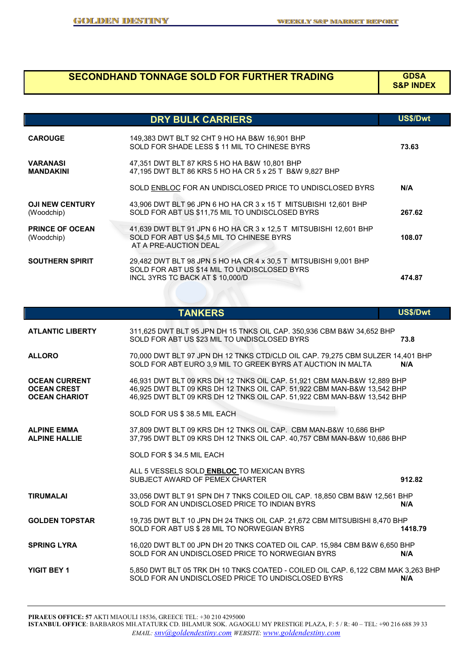# **SECONDHAND TONNAGE SOLD FOR FURTHER TRADING GDSA**

#### **S&P INDEX**

|                                      | <b>DRY BULK CARRIERS</b>                                                                                                                            | <b>US\$/Dwt</b> |
|--------------------------------------|-----------------------------------------------------------------------------------------------------------------------------------------------------|-----------------|
| <b>CAROUGE</b>                       | 149,383 DWT BLT 92 CHT 9 HO HA B&W 16,901 BHP<br>SOLD FOR SHADE LESS \$11 MIL TO CHINESE BYRS                                                       | 73.63           |
| <b>VARANASI</b><br><b>MANDAKINI</b>  | 47,351 DWT BLT 87 KRS 5 HO HA B&W 10,801 BHP<br>47,195 DWT BLT 86 KRS 5 HO HA CR 5 x 25 T B&W 9,827 BHP                                             |                 |
|                                      | SOLD ENBLOC FOR AN UNDISCLOSED PRICE TO UNDISCLOSED BYRS                                                                                            | N/A             |
| <b>OJI NEW CENTURY</b><br>(Woodchip) | 43,906 DWT BLT 96 JPN 6 HO HA CR 3 x 15 T MITSUBISHI 12,601 BHP<br>SOLD FOR ABT US \$11,75 MIL TO UNDISCLOSED BYRS                                  | 267.62          |
| <b>PRINCE OF OCEAN</b><br>(Woodchip) | 41,639 DWT BLT 91 JPN 6 HO HA CR 3 x 12,5 T MITSUBISHI 12,601 BHP<br>SOLD FOR ABT US \$4.5 MIL TO CHINESE BYRS<br>AT A PRE-AUCTION DEAL             | 108.07          |
| <b>SOUTHERN SPIRIT</b>               | 29,482 DWT BLT 98 JPN 5 HO HA CR 4 x 30,5 T MITSUBISHI 9,001 BHP<br>SOLD FOR ABT US \$14 MIL TO UNDISCLOSED BYRS<br>INCL 3YRS TC BACK AT \$10,000/D | 474.87          |

|                                                                    | <b>TANKERS</b>                                                                                                                                                                                                                | <b>US\$/Dwt</b> |
|--------------------------------------------------------------------|-------------------------------------------------------------------------------------------------------------------------------------------------------------------------------------------------------------------------------|-----------------|
| <b>ATLANTIC LIBERTY</b>                                            | 311,625 DWT BLT 95 JPN DH 15 TNKS OIL CAP. 350,936 CBM B&W 34,652 BHP<br>SOLD FOR ABT US \$23 MIL TO UNDISCLOSED BYRS                                                                                                         | 73.8            |
| <b>ALLORO</b>                                                      | 70,000 DWT BLT 97 JPN DH 12 TNKS CTD/CLD OIL CAP. 79,275 CBM SULZER 14,401 BHP<br>SOLD FOR ABT EURO 3,9 MIL TO GREEK BYRS AT AUCTION IN MALTA                                                                                 | N/A             |
| <b>OCEAN CURRENT</b><br><b>OCEAN CREST</b><br><b>OCEAN CHARIOT</b> | 46,931 DWT BLT 09 KRS DH 12 TNKS OIL CAP. 51,921 CBM MAN-B&W 12,889 BHP<br>46,925 DWT BLT 09 KRS DH 12 TNKS OIL CAP. 51,922 CBM MAN-B&W 13,542 BHP<br>46,925 DWT BLT 09 KRS DH 12 TNKS OIL CAP. 51,922 CBM MAN-B&W 13,542 BHP |                 |
|                                                                    | SOLD FOR US \$38.5 MIL EACH                                                                                                                                                                                                   |                 |
| <b>ALPINE EMMA</b><br><b>ALPINE HALLIE</b>                         | 37,809 DWT BLT 09 KRS DH 12 TNKS OIL CAP. CBM MAN-B&W 10,686 BHP<br>37,795 DWT BLT 09 KRS DH 12 TNKS OIL CAP. 40,757 CBM MAN-B&W 10,686 BHP                                                                                   |                 |
|                                                                    | SOLD FOR \$34.5 MIL EACH                                                                                                                                                                                                      |                 |
|                                                                    | ALL 5 VESSELS SOLD ENBLOC TO MEXICAN BYRS<br>SUBJECT AWARD OF PEMEX CHARTER                                                                                                                                                   | 912.82          |
| <b>TIRUMALAI</b>                                                   | 33,056 DWT BLT 91 SPN DH 7 TNKS COILED OIL CAP. 18,850 CBM B&W 12,561 BHP<br>SOLD FOR AN UNDISCLOSED PRICE TO INDIAN BYRS                                                                                                     | N/A             |
| <b>GOLDEN TOPSTAR</b>                                              | 19,735 DWT BLT 10 JPN DH 24 TNKS OIL CAP. 21,672 CBM MITSUBISHI 8,470 BHP<br>SOLD FOR ABT US \$ 28 MIL TO NORWEGIAN BYRS                                                                                                      | 1418.79         |
| <b>SPRING LYRA</b>                                                 | 16,020 DWT BLT 00 JPN DH 20 TNKS COATED OIL CAP. 15,984 CBM B&W 6,650 BHP<br>SOLD FOR AN UNDISCLOSED PRICE TO NORWEGIAN BYRS                                                                                                  | N/A             |
| YIGIT BEY 1                                                        | 5,850 DWT BLT 05 TRK DH 10 TNKS COATED - COILED OIL CAP. 6,122 CBM MAK 3,263 BHP<br>SOLD FOR AN UNDISCLOSED PRICE TO UNDISCLOSED BYRS                                                                                         | N/A             |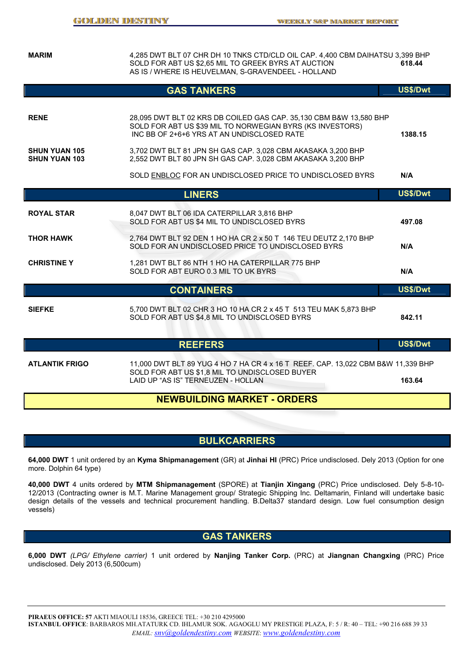**MARIM** 4,285 DWT BLT 07 CHR DH 10 TNKS CTD/CLD OIL CAP. 4,400 CBM DAIHATSU 3,399 BHP SOLD FOR ABT US \$2,65 MIL TO GREEK BYRS AT AUCTION **618.44** AS IS / WHERE IS HEUVELMAN, S-GRAVENDEEL - HOLLAND

|                                                             | <b>GAS TANKERS</b>                                                                                                                                                                                                                                                                                            | US\$/Dwt        |
|-------------------------------------------------------------|---------------------------------------------------------------------------------------------------------------------------------------------------------------------------------------------------------------------------------------------------------------------------------------------------------------|-----------------|
| <b>RENE</b><br><b>SHUN YUAN 105</b><br><b>SHUN YUAN 103</b> | 28,095 DWT BLT 02 KRS DB COILED GAS CAP. 35,130 CBM B&W 13,580 BHP<br>SOLD FOR ABT US \$39 MIL TO NORWEGIAN BYRS (KS INVESTORS)<br>INC BB OF 2+6+6 YRS AT AN UNDISCLOSED RATE<br>3,702 DWT BLT 81 JPN SH GAS CAP. 3,028 CBM AKASAKA 3,200 BHP<br>2,552 DWT BLT 80 JPN SH GAS CAP. 3,028 CBM AKASAKA 3,200 BHP | 1388.15         |
|                                                             | SOLD ENBLOC FOR AN UNDISCLOSED PRICE TO UNDISCLOSED BYRS                                                                                                                                                                                                                                                      | N/A             |
|                                                             | <b>LINERS</b>                                                                                                                                                                                                                                                                                                 | US\$/Dwt        |
| <b>ROYAL STAR</b>                                           | 8,047 DWT BLT 06 IDA CATERPILLAR 3,816 BHP<br>SOLD FOR ABT US \$4 MIL TO UNDISCLOSED BYRS                                                                                                                                                                                                                     | 497.08          |
| <b>THOR HAWK</b>                                            | 2,764 DWT BLT 92 DEN 1 HO HA CR 2 x 50 T 146 TEU DEUTZ 2,170 BHP<br>SOLD FOR AN UNDISCLOSED PRICE TO UNDISCLOSED BYRS                                                                                                                                                                                         | N/A             |
| <b>CHRISTINE Y</b>                                          | 1,281 DWT BLT 86 NTH 1 HO HA CATERPILLAR 775 BHP<br>SOLD FOR ABT EURO 0.3 MIL TO UK BYRS                                                                                                                                                                                                                      | N/A             |
|                                                             | <b>CONTAINERS</b>                                                                                                                                                                                                                                                                                             | US\$/Dwt        |
| <b>SIEFKE</b>                                               | 5,700 DWT BLT 02 CHR 3 HO 10 HA CR 2 x 45 T 513 TEU MAK 5,873 BHP<br>SOLD FOR ABT US \$4,8 MIL TO UNDISCLOSED BYRS                                                                                                                                                                                            | 842.11          |
|                                                             | <b>REEFERS</b>                                                                                                                                                                                                                                                                                                | <b>US\$/Dwt</b> |
| <b>ATLANTIK FRIGO</b>                                       | 11,000 DWT BLT 89 YUG 4 HO 7 HA CR 4 x 16 T REEF. CAP. 13,022 CBM B&W 11,339 BHP<br>SOLD FOR ABT US \$1,8 MIL TO UNDISCLOSED BUYER<br>LAID UP "AS IS" TERNEUZEN - HOLLAN                                                                                                                                      | 163.64          |

#### **NEWBUILDING MARKET - ORDERS**

### **BULKCARRIERS**

**64,000 DWT** 1 unit ordered by an **Kyma Shipmanagement** (GR) at **Jinhai HI** (PRC) Price undisclosed. Dely 2013 (Option for one more. Dolphin 64 type)

**40,000 DWT** 4 units ordered by **MTM Shipmanagement** (SPORE) at **Tianjin Xingang** (PRC) Price undisclosed. Dely 5-8-10- 12/2013 (Contracting owner is M.T. Marine Management group/ Strategic Shipping Inc. Deltamarin, Finland will undertake basic design details of the vessels and technical procurement handling. B.Delta37 standard design. Low fuel consumption design vessels)

#### **GAS TANKERS**

**6,000 DWT** *(LPG/ Ethylene carrier)* 1 unit ordered by **Nanjing Tanker Corp.** (PRC) at **Jiangnan Changxing** (PRC) Price undisclosed. Dely 2013 (6,500cum)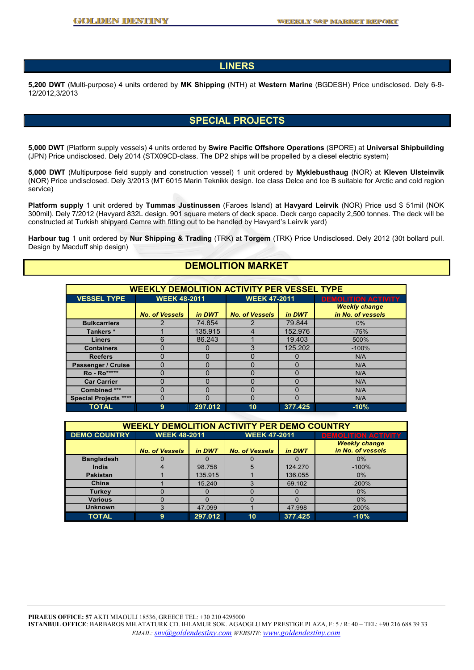#### **LINERS**

**5,200 DWT** (Multi-purpose) 4 units ordered by **MK Shipping** (NTH) at **Western Marine** (BGDESH) Price undisclosed. Dely 6-9- 12/2012,3/2013

#### **SPECIAL PROJECTS**

**5,000 DWT** (Platform supply vessels) 4 units ordered by **Swire Pacific Offshore Operations** (SPORE) at **Universal Shipbuilding** (JPN) Price undisclosed. Dely 2014 (STX09CD-class. The DP2 ships will be propelled by a diesel electric system)

**5,000 DWT** (Multipurpose field supply and construction vessel) 1 unit ordered by **Myklebusthaug** (NOR) at **Kleven Ulsteinvik** (NOR) Price undisclosed. Dely 3/2013 (MT 6015 Marin Teknikk design. Ice class Delce and Ice B suitable for Arctic and cold region service)

**Platform supply** 1 unit ordered by **Tummas Justinussen** (Faroes Island) at **Havyard Leirvik** (NOR) Price usd \$ 51mil (NOK 300mil). Dely 7/2012 (Havyard 832L design. 901 square meters of deck space. Deck cargo capacity 2,500 tonnes. The deck will be constructed at Turkish shipyard Cemre with fitting out to be handled by Havyard's Leirvik yard)

**Harbour tug** 1 unit ordered by **Nur Shipping & Trading** (TRK) at **Torgem** (TRK) Price Undisclosed. Dely 2012 (30t bollard pull. Design by Macduff ship design)

### **DEMOLITION MARKET**

| <b>WEEKLY DEMOLITION ACTIVITY PER VESSEL TYPE</b> |                       |              |                       |         |                            |  |  |  |
|---------------------------------------------------|-----------------------|--------------|-----------------------|---------|----------------------------|--|--|--|
| <b>VESSEL TYPE</b>                                | <b>WEEK 48-2011</b>   |              | <b>WEEK 47-2011</b>   |         | <b>DEMOLITION ACTIVITY</b> |  |  |  |
|                                                   |                       |              |                       |         | <b>Weekly change</b>       |  |  |  |
|                                                   | <b>No. of Vessels</b> | in DWT       | <b>No. of Vessels</b> | in DWT  | in No. of vessels          |  |  |  |
| <b>Bulkcarriers</b>                               |                       | 74.854       |                       | 79.844  | $0\%$                      |  |  |  |
| Tankers *                                         |                       | 135.915      |                       | 152.976 | $-75%$                     |  |  |  |
| <b>Liners</b>                                     | 6                     | 86.243       |                       | 19.403  | 500%                       |  |  |  |
| <b>Containers</b>                                 | O                     | $\mathbf{O}$ | 3                     | 125.202 | $-100%$                    |  |  |  |
| <b>Reefers</b>                                    | ŋ                     | 0            |                       |         | N/A                        |  |  |  |
| Passenger / Cruise                                | O                     | 0            | Ω                     | 0       | N/A                        |  |  |  |
| Ro - Ro*****                                      | 0                     | 0            | U                     | 0       | N/A                        |  |  |  |
| <b>Car Carrier</b>                                | 0                     | 0            | 0                     | 0       | N/A                        |  |  |  |
| Combined ***                                      | ŋ                     | ŋ            | U                     | ი       | N/A                        |  |  |  |
| <b>Special Projects ****</b>                      | 0                     | 0            | 0                     | 0       | N/A                        |  |  |  |
| <b>TOTAL</b>                                      | 9                     | 297.012      | 10                    | 377.425 | $-10%$                     |  |  |  |

| <b>WEEKLY DEMOLITION ACTIVITY PER DEMO COUNTRY</b> |                                 |         |                       |          |                                           |  |  |  |
|----------------------------------------------------|---------------------------------|---------|-----------------------|----------|-------------------------------------------|--|--|--|
| <b>DEMO COUNTRY</b>                                | <b>WEEK 48-2011</b>             |         | <b>WEEK 47-2011</b>   |          | <b>DEMOLITION ACTIVITY</b>                |  |  |  |
|                                                    | in DWT<br><b>No. of Vessels</b> |         | <b>No. of Vessels</b> | in DWT   | <b>Weekly change</b><br>in No. of vessels |  |  |  |
| <b>Bangladesh</b>                                  |                                 |         |                       |          | 0%                                        |  |  |  |
| India                                              |                                 | 98.758  | 5                     | 124,270  | $-100%$                                   |  |  |  |
| <b>Pakistan</b>                                    |                                 | 135.915 |                       | 136.055  | 0%                                        |  |  |  |
| China                                              |                                 | 15.240  | 3                     | 69.102   | $-200%$                                   |  |  |  |
| <b>Turkey</b>                                      |                                 |         |                       | $\Omega$ | 0%                                        |  |  |  |
| <b>Various</b>                                     |                                 | 0       |                       | $\Omega$ | 0%                                        |  |  |  |
| <b>Unknown</b>                                     |                                 | 47.099  |                       | 47.998   | 200%                                      |  |  |  |
| <b>TOTAL</b>                                       | 9                               | 297.012 | 10                    | 377.425  | $-10%$                                    |  |  |  |

**PIRAEUS OFFICE: 57** AKTI MIAOULI 18536, GREECE TEL: +30 210 4295000 **ISTANBUL OFFICE**: BARBAROS MH.ATATURK CD. IHLAMUR SOK. AGAOGLU MY PRESTIGE PLAZA, F: 5 / R: 40 – TEL: +90 216 688 39 33 *EMAIL: snv@goldendestiny.com WEBSITE*: *www.goldendestiny.com*